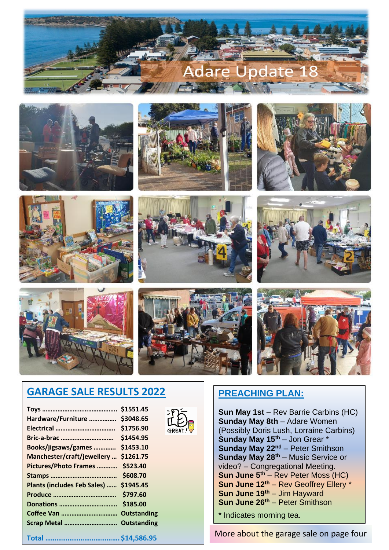

















# **GARAGE SALE RESULTS 2022**

| \$1551.45<br>Hardware/Furniture  \$3048.65<br>$GREAT$ !<br>\$1454.95<br>Bric-a-brac<br>Books/jigsaws/games  \$1453.10<br>Manchester/craft/jewellery  \$1261.75<br>Pictures/Photo Frames  \$523.40<br>Plants (includes Feb Sales)  \$1945.45<br>\$797.60<br>Scrap Metal  Outstanding | <b>Sun May 1st</b> – Rev Barrie Carbins (HC)<br><b>Sunday May 8th - Adare Women</b><br>(Possibly Doris Lush, Lorraine Carbins)<br>Sunday May 15th - Jon Grear *<br>Sunday May 22 <sup>nd</sup> – Peter Smithson<br><b>Sunday May 28th - Music Service or</b><br>video? - Congregational Meeting.<br><b>Sun June <math>5th</math> – Rev Peter Moss (HC)</b><br>Sun June 12th - Rev Geoffrey Ellery *<br>Sun June 19th - Jim Hayward<br>Sun June 26 <sup>th</sup> - Peter Smithson<br>* Indicates morning tea. |
|-------------------------------------------------------------------------------------------------------------------------------------------------------------------------------------------------------------------------------------------------------------------------------------|--------------------------------------------------------------------------------------------------------------------------------------------------------------------------------------------------------------------------------------------------------------------------------------------------------------------------------------------------------------------------------------------------------------------------------------------------------------------------------------------------------------|
|                                                                                                                                                                                                                                                                                     | More about the garage sale on page four                                                                                                                                                                                                                                                                                                                                                                                                                                                                      |

## **PREACHING PLAN:**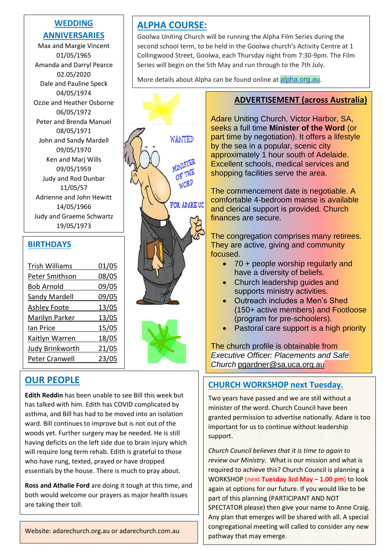#### **WEDDING ANNIVERSARIES**

Ozzie and Heather Osborne Max and Margie Vincent 01/05/1965 Amanda and Darryl Pearce 02.05/2020 Dale and Pauline Speck 04/05/1974 06/05/1972 Peter and Brenda Manuel 08/05/1971 John and Sandy Mardell 09/05/1970 Ken and Marj Wills 09/05/1959 Judy and Rod Dunbar 11/05/57 Adrienne and John Hewitt 14/05/1966 Judy and Graeme Schwartz 19/05/1973

#### **BIRTHDAYS**

| <b>Trish Williams</b>  | 01/05 |
|------------------------|-------|
|                        |       |
| Peter Smithson         | 08/05 |
| <b>Bob Arnold</b>      | 09/05 |
| <b>Sandy Mardell</b>   | 09/05 |
| <b>Ashley Foote</b>    | 13/05 |
| <b>Marilyn Parker</b>  | 13/05 |
| Ian Price              | 15/05 |
| <b>Kaitlyn Warren</b>  | 18/05 |
| <b>Judy Brinkworth</b> | 21/05 |
| Peter Cranwell         | 23/05 |
|                        |       |

 $\overline{a}$ 

# **OUR PEOPLE**

**Edith Reddin** has been unable to see Bill this week but has talked with him. Edith has COVID complicated by asthma, and Bill has had to be moved into an isolation ward. Bill continues to improve but is not out of the woods yet. Further surgery may be needed. He is still having deficits on the left side due to brain injury which will require long term rehab. Edith is grateful to those who have rung, texted, prayed or have dropped essentials by the house. There is much to pray about.

**Ross and Athalie Ford** are doing it tough at this time, and both would welcome our prayers as major health issues are taking their toll.

Website: adarechurch.org.au or adarechurch.com.au

# **ALPHA COURSE:**

WANTED

**MINISTER** OF THE WORD

**FOR ADARE UC** 

Goolwa Uniting Church will be running the Alpha Film Series during the second school term, to be held in the Goolwa church's Activity Centre at 1 Collingwood Street, Goolwa, each Thursday night from 7:30-9pm. The Film Series will begin on the 5th May and run through to the 7th July.

More details about Alpha can be found online at [alpha.org.au](http://alpha.org.au/).

#### **ADVERTISEMENT (across Australia)**

Adare Uniting Church, Victor Harbor, SA, seeks a full time **Minister of the Word** (or part time by negotiation). It offers a lifestyle by the sea in a popular, scenic city approximately 1 hour south of Adelaide. Excellent schools, medical services and shopping facilities serve the area.

The commencement date is negotiable. A comfortable 4-bedroom manse is available and clerical support is provided. Church finances are secure.

The congregation comprises many retirees. They are active, giving and community focused.

- 70 + people worship regularly and have a diversity of beliefs.
- Church leadership quides and supports ministry activities.
- Outreach includes a Men's Shed (150+ active members) and Footloose (program for pre-schoolers).
- Pastoral care support is a high priority

The church profile is obtainable from *Executive Officer: Placements and Safe Church* [pgardner@sa.uca.org.au](mailto:pgardner@sa.uca.org.au)

#### **CHURCH WORKSHOP next Tuesday.**

Two years have passed and we are still without a minister of the word. Church Council have been granted permission to advertise nationally. Adare is too important for us to continue without leadership support.

*Church Council believes that it is time to again to review our Ministry.* What is our mission and what is required to achieve this? Church Council is planning a WORKSHOP (next **Tuesday 3rd May – 1.00 pm**) to look again at options for our future. If you would like to be part of this planning (PARTICIPANT AND NOT SPECTATOR please) then give your name to Anne Craig. Any plan that emerges will be shared with all. A special congregational meeting will called to consider any new pathway that may emerge.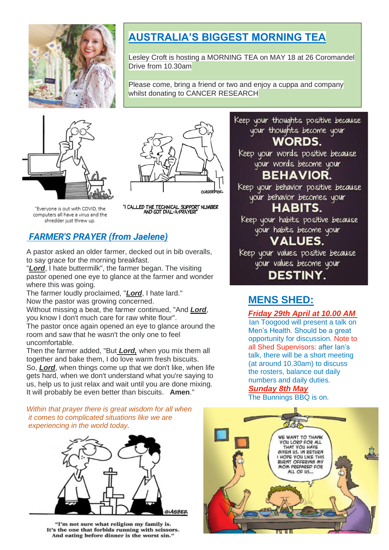

# **AUSTRALIA'S BIGGEST MORNING TEA**

Lesley Croft is hosting a MORNING TEA on MAY 18 at 26 Coromandel Drive from 10.30am

Please come, bring a friend or two and enjoy a cuppa and company whilst donating to CANCER RESEARCH





"Everyone is out with COVID, the computers all have a virus and the shredder just threw up.

"I CALLED THE TECHNICAL SUPPORT NUMBER AND GOT DIAL-A-PRAYER!

## *FARMER'S PRAYER (from Jaelene)*

A pastor asked an older farmer, decked out in bib overalls, to say grace for the morning breakfast.

"*Lord*, I hate buttermilk", the farmer began. The visiting pastor opened one eye to glance at the farmer and wonder where this was going.

The farmer loudly proclaimed, "*Lord*, I hate lard." Now the pastor was growing concerned.

Without missing a beat, the farmer continued, "And *Lord*, you know I don't much care for raw white flour".

The pastor once again opened an eye to glance around the room and saw that he wasn't the only one to feel uncomfortable.

Then the farmer added, "But *Lord,* when you mix them all together and bake them, I do love warm fresh biscuits. So, *Lord*, when things come up that we don't like, when life gets hard, when we don't understand what you're saying to us, help us to just relax and wait until you are done mixing. It will probably be even better than biscuits. **Amen**."

*Within that prayer there is great wisdom for all when it comes to complicated situations like we are experiencing in the world today.*



"I'm not sure what religion my family is. It's the one that forbids running with scissors. And eating before dinner is the worst sin."

your thoughts become your **WORDS.** Keep your words positive because your words become your **BEHAVIOR.** Keep your behavior positive because your behavior becomes your HABITS. Keep your habits positive because

Keep your thoughts positive because

your habits become your

# **VALUES.**

Keep your values positive because your values become your

**DESTINY.** 

## **MENS SHED:**

#### *Friday 29th April at 10.00 AM*

Ian Toogood will present a talk on Men's Health. Should be a great opportunity for discussion. Note to all Shed Supervisors: after Ian's talk, there will be a short meeting (at around 10.30am) to discuss the rosters, balance out daily numbers and daily duties.

#### *Sunday 8th May*

The Bunnings BBQ is on.